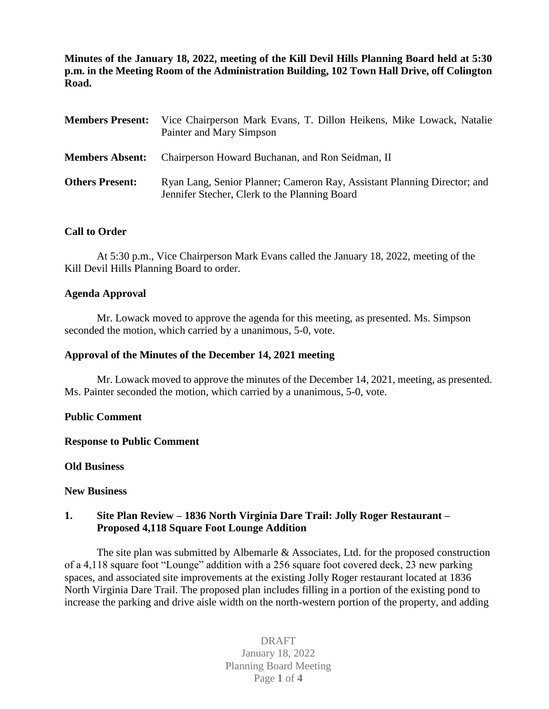**Minutes of the January 18, 2022, meeting of the Kill Devil Hills Planning Board held at 5:30 p.m. in the Meeting Room of the Administration Building, 102 Town Hall Drive, off Colington Road.**

| <b>Members Present:</b> | Vice Chairperson Mark Evans, T. Dillon Heikens, Mike Lowack, Natalie<br>Painter and Mary Simpson                          |
|-------------------------|---------------------------------------------------------------------------------------------------------------------------|
| <b>Members Absent:</b>  | Chairperson Howard Buchanan, and Ron Seidman, II                                                                          |
| <b>Others Present:</b>  | Ryan Lang, Senior Planner; Cameron Ray, Assistant Planning Director; and<br>Jennifer Stecher, Clerk to the Planning Board |

### **Call to Order**

At 5:30 p.m., Vice Chairperson Mark Evans called the January 18, 2022, meeting of the Kill Devil Hills Planning Board to order.

### **Agenda Approval**

Mr. Lowack moved to approve the agenda for this meeting, as presented. Ms. Simpson seconded the motion, which carried by a unanimous, 5-0, vote.

### **Approval of the Minutes of the December 14, 2021 meeting**

Mr. Lowack moved to approve the minutes of the December 14, 2021, meeting, as presented. Ms. Painter seconded the motion, which carried by a unanimous, 5-0, vote.

### **Public Comment**

### **Response to Public Comment**

### **Old Business**

### **New Business**

### **1. Site Plan Review – 1836 North Virginia Dare Trail: Jolly Roger Restaurant – Proposed 4,118 Square Foot Lounge Addition**

The site plan was submitted by Albemarle & Associates, Ltd. for the proposed construction of a 4,118 square foot "Lounge" addition with a 256 square foot covered deck, 23 new parking spaces, and associated site improvements at the existing Jolly Roger restaurant located at 1836 North Virginia Dare Trail. The proposed plan includes filling in a portion of the existing pond to increase the parking and drive aisle width on the north-western portion of the property, and adding

## DRAFT January 18, 2022 Planning Board Meeting Page **1** of **4**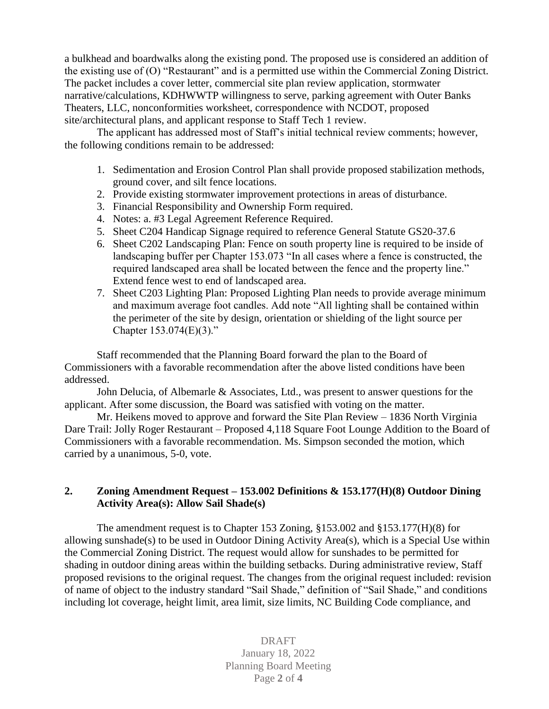a bulkhead and boardwalks along the existing pond. The proposed use is considered an addition of the existing use of (O) "Restaurant" and is a permitted use within the Commercial Zoning District. The packet includes a cover letter, commercial site plan review application, stormwater narrative/calculations, KDHWWTP willingness to serve, parking agreement with Outer Banks Theaters, LLC, nonconformities worksheet, correspondence with NCDOT, proposed site/architectural plans, and applicant response to Staff Tech 1 review.

The applicant has addressed most of Staff's initial technical review comments; however, the following conditions remain to be addressed:

- 1. Sedimentation and Erosion Control Plan shall provide proposed stabilization methods, ground cover, and silt fence locations.
- 2. Provide existing stormwater improvement protections in areas of disturbance.
- 3. Financial Responsibility and Ownership Form required.
- 4. Notes: a. #3 Legal Agreement Reference Required.
- 5. Sheet C204 Handicap Signage required to reference General Statute GS20-37.6
- 6. Sheet C202 Landscaping Plan: Fence on south property line is required to be inside of landscaping buffer per Chapter 153.073 "In all cases where a fence is constructed, the required landscaped area shall be located between the fence and the property line." Extend fence west to end of landscaped area.
- 7. Sheet C203 Lighting Plan: Proposed Lighting Plan needs to provide average minimum and maximum average foot candles. Add note "All lighting shall be contained within the perimeter of the site by design, orientation or shielding of the light source per Chapter 153.074(E)(3)."

Staff recommended that the Planning Board forward the plan to the Board of Commissioners with a favorable recommendation after the above listed conditions have been addressed.

John Delucia, of Albemarle & Associates, Ltd., was present to answer questions for the applicant. After some discussion, the Board was satisfied with voting on the matter.

Mr. Heikens moved to approve and forward the Site Plan Review – 1836 North Virginia Dare Trail: Jolly Roger Restaurant – Proposed 4,118 Square Foot Lounge Addition to the Board of Commissioners with a favorable recommendation. Ms. Simpson seconded the motion, which carried by a unanimous, 5-0, vote.

### **2. Zoning Amendment Request – 153.002 Definitions & 153.177(H)(8) Outdoor Dining Activity Area(s): Allow Sail Shade(s)**

The amendment request is to Chapter 153 Zoning, §153.002 and §153.177(H)(8) for allowing sunshade(s) to be used in Outdoor Dining Activity Area(s), which is a Special Use within the Commercial Zoning District. The request would allow for sunshades to be permitted for shading in outdoor dining areas within the building setbacks. During administrative review, Staff proposed revisions to the original request. The changes from the original request included: revision of name of object to the industry standard "Sail Shade," definition of "Sail Shade," and conditions including lot coverage, height limit, area limit, size limits, NC Building Code compliance, and

> DRAFT January 18, 2022 Planning Board Meeting Page **2** of **4**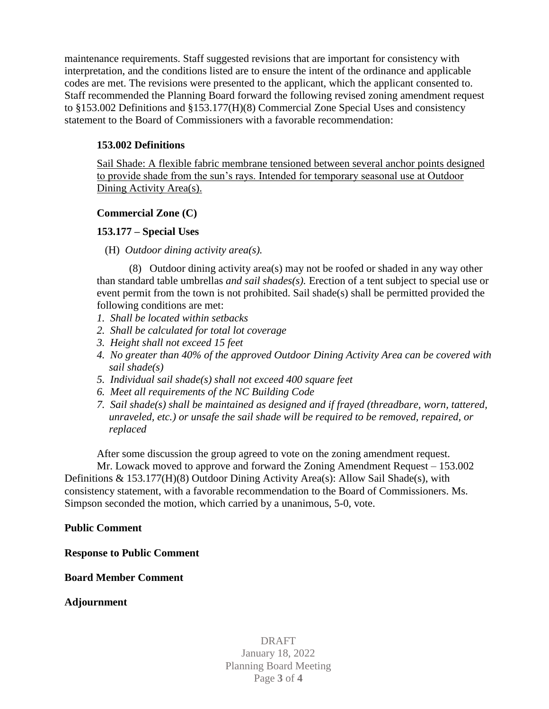maintenance requirements. Staff suggested revisions that are important for consistency with interpretation, and the conditions listed are to ensure the intent of the ordinance and applicable codes are met. The revisions were presented to the applicant, which the applicant consented to. Staff recommended the Planning Board forward the following revised zoning amendment request to §153.002 Definitions and §153.177(H)(8) Commercial Zone Special Uses and consistency statement to the Board of Commissioners with a favorable recommendation:

# **153.002 Definitions**

Sail Shade: A flexible fabric membrane tensioned between several anchor points designed to provide shade from the sun's rays. Intended for temporary seasonal use at Outdoor Dining Activity Area(s).

### **Commercial Zone (C)**

# **153.177 – Special Uses**

(H) *Outdoor dining activity area(s).*

(8) Outdoor dining activity area(s) may not be roofed or shaded in any way other than standard table umbrellas *and sail shades(s).* Erection of a tent subject to special use or event permit from the town is not prohibited. Sail shade(s) shall be permitted provided the following conditions are met:

- *1. Shall be located within setbacks*
- *2. Shall be calculated for total lot coverage*
- *3. Height shall not exceed 15 feet*
- *4. No greater than 40% of the approved Outdoor Dining Activity Area can be covered with sail shade(s)*
- *5. Individual sail shade(s) shall not exceed 400 square feet*
- *6. Meet all requirements of the NC Building Code*
- *7. Sail shade(s) shall be maintained as designed and if frayed (threadbare, worn, tattered, unraveled, etc.) or unsafe the sail shade will be required to be removed, repaired, or replaced*

After some discussion the group agreed to vote on the zoning amendment request.

Mr. Lowack moved to approve and forward the Zoning Amendment Request – 153.002 Definitions & 153.177(H)(8) Outdoor Dining Activity Area(s): Allow Sail Shade(s), with consistency statement, with a favorable recommendation to the Board of Commissioners. Ms. Simpson seconded the motion, which carried by a unanimous, 5-0, vote.

### **Public Comment**

**Response to Public Comment**

**Board Member Comment** 

**Adjournment**

DRAFT January 18, 2022 Planning Board Meeting Page **3** of **4**